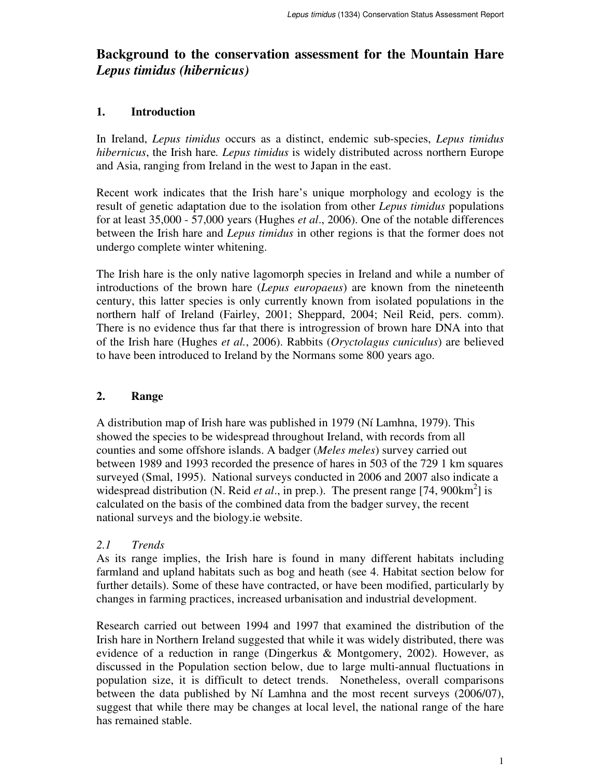# **Background to the conservation assessment for the Mountain Hare** *Lepus timidus (hibernicus)*

### **1. Introduction**

In Ireland, *Lepus timidus* occurs as a distinct, endemic sub-species, *Lepus timidus hibernicus*, the Irish hare*. Lepus timidus* is widely distributed across northern Europe and Asia, ranging from Ireland in the west to Japan in the east.

Recent work indicates that the Irish hare's unique morphology and ecology is the result of genetic adaptation due to the isolation from other *Lepus timidus* populations for at least 35,000 - 57,000 years (Hughes *et al*., 2006). One of the notable differences between the Irish hare and *Lepus timidus* in other regions is that the former does not undergo complete winter whitening.

The Irish hare is the only native lagomorph species in Ireland and while a number of introductions of the brown hare (*Lepus europaeus*) are known from the nineteenth century, this latter species is only currently known from isolated populations in the northern half of Ireland (Fairley, 2001; Sheppard, 2004; Neil Reid, pers. comm). There is no evidence thus far that there is introgression of brown hare DNA into that of the Irish hare (Hughes *et al.*, 2006). Rabbits (*Oryctolagus cuniculus*) are believed to have been introduced to Ireland by the Normans some 800 years ago.

## **2. Range**

A distribution map of Irish hare was published in 1979 (Ní Lamhna, 1979). This showed the species to be widespread throughout Ireland, with records from all counties and some offshore islands. A badger (*Meles meles*) survey carried out between 1989 and 1993 recorded the presence of hares in 503 of the 729 1 km squares surveyed (Smal, 1995). National surveys conducted in 2006 and 2007 also indicate a widespread distribution (N. Reid *et al.*, in prep.). The present range [74, 900 $km^2$ ] is calculated on the basis of the combined data from the badger survey, the recent national surveys and the biology.ie website.

## *2.1 Trends*

As its range implies, the Irish hare is found in many different habitats including farmland and upland habitats such as bog and heath (see 4. Habitat section below for further details). Some of these have contracted, or have been modified, particularly by changes in farming practices, increased urbanisation and industrial development.

Research carried out between 1994 and 1997 that examined the distribution of the Irish hare in Northern Ireland suggested that while it was widely distributed, there was evidence of a reduction in range (Dingerkus & Montgomery, 2002). However, as discussed in the Population section below, due to large multi-annual fluctuations in population size, it is difficult to detect trends. Nonetheless, overall comparisons between the data published by Ní Lamhna and the most recent surveys (2006/07), suggest that while there may be changes at local level, the national range of the hare has remained stable.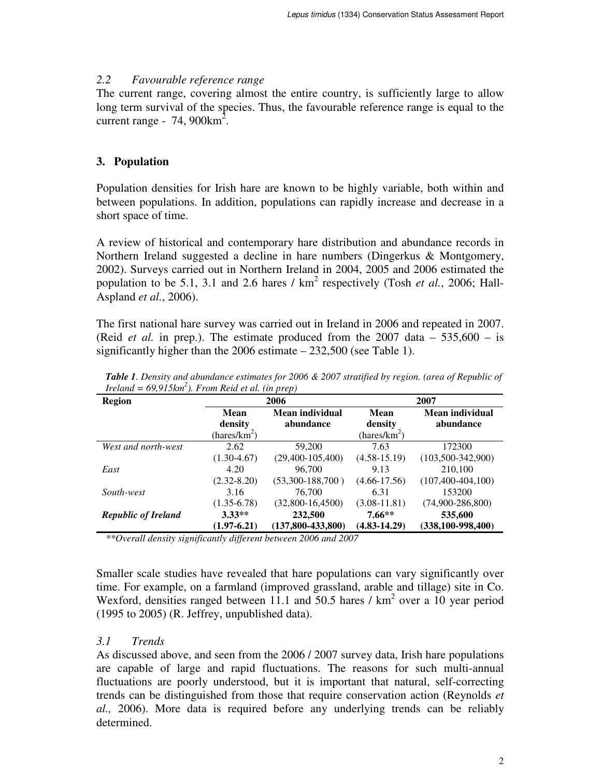### *2.2 Favourable reference range*

The current range, covering almost the entire country, is sufficiently large to allow long term survival of the species. Thus, the favourable reference range is equal to the current range -  $74,900 \text{km}^2$ .

## **3. Population**

Population densities for Irish hare are known to be highly variable, both within and between populations. In addition, populations can rapidly increase and decrease in a short space of time.

A review of historical and contemporary hare distribution and abundance records in Northern Ireland suggested a decline in hare numbers (Dingerkus & Montgomery, 2002). Surveys carried out in Northern Ireland in 2004, 2005 and 2006 estimated the population to be 5.1, 3.1 and 2.6 hares  $/$  km<sup>2</sup> respectively (Tosh *et al.*, 2006; Hall-Aspland *et al.*, 2006).

The first national hare survey was carried out in Ireland in 2006 and repeated in 2007. (Reid *et al.* in prep.). The estimate produced from the 2007 data – 535,600 – is significantly higher than the 2006 estimate – 232,500 (see Table 1).

| <b>Region</b>              | 2006                                        |                              | 2007                                               |                              |
|----------------------------|---------------------------------------------|------------------------------|----------------------------------------------------|------------------------------|
|                            | Mean<br>density<br>(hares/km <sup>2</sup> ) | Mean individual<br>abundance | <b>Mean</b><br>density<br>(hares/km <sup>2</sup> ) | Mean individual<br>abundance |
|                            |                                             |                              |                                                    |                              |
| West and north-west        | 2.62                                        | 59,200                       | 7.63                                               | 172300                       |
|                            | $(1.30-4.67)$                               | $(29,400-105,400)$           | $(4.58 - 15.19)$                                   | $(103,500-342,900)$          |
| East                       | 4.20                                        | 96,700                       | 9.13                                               | 210,100                      |
|                            | $(2.32 - 8.20)$                             | $(53,300-188,700)$           | $(4.66 - 17.56)$                                   | $(107, 400 - 404, 100)$      |
| South-west                 | 3.16                                        | 76,700                       | 6.31                                               | 153200                       |
|                            | $(1.35 - 6.78)$                             | $(32,800-16,4500)$           | $(3.08 - 11.81)$                                   | $(74,900 - 286,800)$         |
| <b>Republic of Ireland</b> | $3.33**$                                    | 232,500                      | $7.66**$                                           | 535,600                      |
|                            | $(1.97 - 6.21)$                             | $(137,800-433,800)$          | $(4.83 - 14.29)$                                   | $(338, 100 - 998, 400)$      |

*Table 1. Density and abundance estimates for 2006 & 2007 stratified by region. (area of Republic of Ireland = 69,915km<sup>2</sup> ). From Reid et al. (in prep)*

*\*\*Overall density significantly different between 2006 and 2007*

Smaller scale studies have revealed that hare populations can vary significantly over time. For example, on a farmland (improved grassland, arable and tillage) site in Co. Wexford, densities ranged between 11.1 and 50.5 hares  $/$  km<sup>2</sup> over a 10 year period (1995 to 2005) (R. Jeffrey, unpublished data).

## *3.1 Trends*

As discussed above, and seen from the 2006 / 2007 survey data, Irish hare populations are capable of large and rapid fluctuations. The reasons for such multi-annual fluctuations are poorly understood, but it is important that natural, self-correcting trends can be distinguished from those that require conservation action (Reynolds *et al.,* 2006). More data is required before any underlying trends can be reliably determined.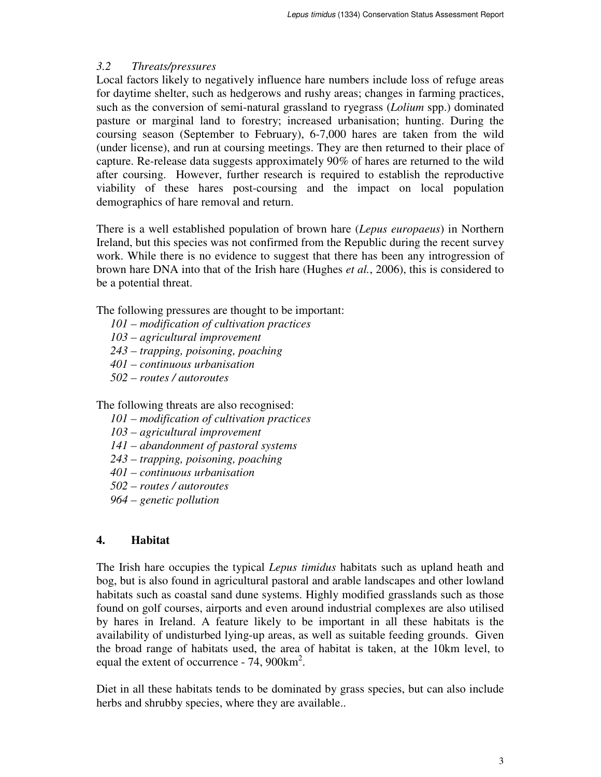### *3.2 Threats/pressures*

Local factors likely to negatively influence hare numbers include loss of refuge areas for daytime shelter, such as hedgerows and rushy areas; changes in farming practices, such as the conversion of semi-natural grassland to ryegrass (*Lolium* spp.) dominated pasture or marginal land to forestry; increased urbanisation; hunting. During the coursing season (September to February), 6-7,000 hares are taken from the wild (under license), and run at coursing meetings. They are then returned to their place of capture. Re-release data suggests approximately 90% of hares are returned to the wild after coursing. However, further research is required to establish the reproductive viability of these hares post-coursing and the impact on local population demographics of hare removal and return.

There is a well established population of brown hare (*Lepus europaeus*) in Northern Ireland, but this species was not confirmed from the Republic during the recent survey work. While there is no evidence to suggest that there has been any introgression of brown hare DNA into that of the Irish hare (Hughes *et al.*, 2006), this is considered to be a potential threat.

The following pressures are thought to be important:

*101 – modification of cultivation practices*

*103 – agricultural improvement*

- *243 trapping, poisoning, poaching*
- *401 continuous urbanisation*
- *502 routes / autoroutes*

The following threats are also recognised:

- *101 modification of cultivation practices*
- *103 agricultural improvement*

*141 – abandonment of pastoral systems*

*243 – trapping, poisoning, poaching*

- *401 continuous urbanisation*
- *502 routes / autoroutes*
- *964 genetic pollution*

### **4. Habitat**

The Irish hare occupies the typical *Lepus timidus* habitats such as upland heath and bog, but is also found in agricultural pastoral and arable landscapes and other lowland habitats such as coastal sand dune systems. Highly modified grasslands such as those found on golf courses, airports and even around industrial complexes are also utilised by hares in Ireland. A feature likely to be important in all these habitats is the availability of undisturbed lying-up areas, as well as suitable feeding grounds. Given the broad range of habitats used, the area of habitat is taken, at the 10km level, to equal the extent of occurrence  $-74$ , 900 $\text{km}^2$ .

Diet in all these habitats tends to be dominated by grass species, but can also include herbs and shrubby species, where they are available..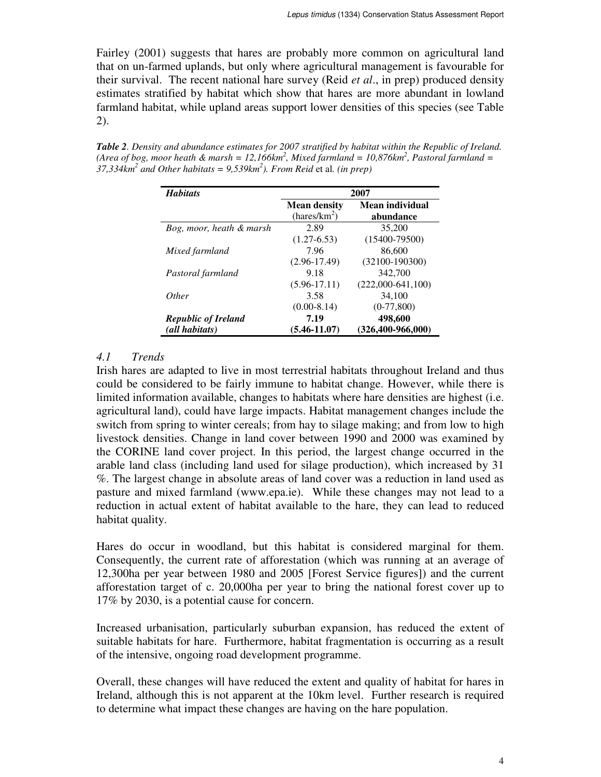Fairley (2001) suggests that hares are probably more common on agricultural land that on un-farmed uplands, but only where agricultural management is favourable for their survival. The recent national hare survey (Reid *et al*., in prep) produced density estimates stratified by habitat which show that hares are more abundant in lowland farmland habitat, while upland areas support lower densities of this species (see Table 2).

| <b>Habitats</b>            | 2007                     |                         |  |
|----------------------------|--------------------------|-------------------------|--|
|                            | <b>Mean density</b>      | Mean individual         |  |
|                            | (hares/km <sup>2</sup> ) | abundance               |  |
| Bog, moor, heath & marsh   | 2.89                     | 35,200                  |  |
|                            | $(1.27 - 6.53)$          | $(15400 - 79500)$       |  |
| Mixed farmland             | 7.96                     | 86,600                  |  |
|                            | $(2.96-17.49)$           | $(32100-190300)$        |  |
| Pastoral farmland          | 9.18                     | 342,700                 |  |
|                            | $(5.96 - 17.11)$         | $(222,000-641,100)$     |  |
| <i>Other</i>               | 3.58                     | 34,100                  |  |
|                            | $(0.00-8.14)$            | $(0-77,800)$            |  |
| <b>Republic of Ireland</b> | 7.19                     | 498,600                 |  |
| (all habitats)             | $(5.46 - 11.07)$         | $(326, 400 - 966, 000)$ |  |

*Table 2. Density and abundance estimates for 2007 stratified by habitat within the Republic of Ireland. (Area of bog, moor heath & marsh = 12,166km<sup>2</sup> , Mixed farmland = 10,876km<sup>2</sup> , Pastoral farmland = 37,334km<sup>2</sup> and Other habitats = 9,539km<sup>2</sup> ). From Reid* et al*. (in prep)*

### *4.1 Trends*

Irish hares are adapted to live in most terrestrial habitats throughout Ireland and thus could be considered to be fairly immune to habitat change. However, while there is limited information available, changes to habitats where hare densities are highest (i.e. agricultural land), could have large impacts. Habitat management changes include the switch from spring to winter cereals; from hay to silage making; and from low to high livestock densities. Change in land cover between 1990 and 2000 was examined by the CORINE land cover project. In this period, the largest change occurred in the arable land class (including land used for silage production), which increased by 31 %. The largest change in absolute areas of land cover was a reduction in land used as pasture and mixed farmland (www.epa.ie). While these changes may not lead to a reduction in actual extent of habitat available to the hare, they can lead to reduced habitat quality.

Hares do occur in woodland, but this habitat is considered marginal for them. Consequently, the current rate of afforestation (which was running at an average of 12,300ha per year between 1980 and 2005 [Forest Service figures]) and the current afforestation target of c. 20,000ha per year to bring the national forest cover up to 17% by 2030, is a potential cause for concern.

Increased urbanisation, particularly suburban expansion, has reduced the extent of suitable habitats for hare. Furthermore, habitat fragmentation is occurring as a result of the intensive, ongoing road development programme.

Overall, these changes will have reduced the extent and quality of habitat for hares in Ireland, although this is not apparent at the 10km level. Further research is required to determine what impact these changes are having on the hare population.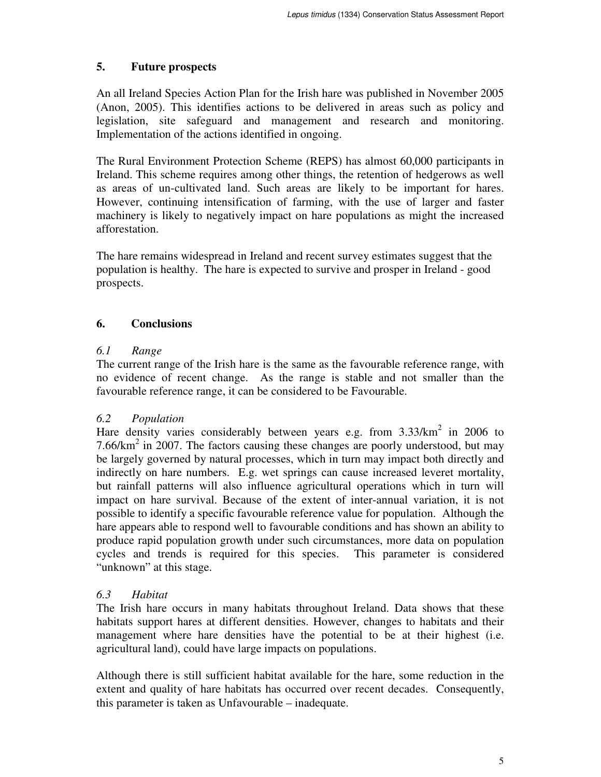## **5. Future prospects**

An all Ireland Species Action Plan for the Irish hare was published in November 2005 (Anon, 2005). This identifies actions to be delivered in areas such as policy and legislation, site safeguard and management and research and monitoring. Implementation of the actions identified in ongoing.

The Rural Environment Protection Scheme (REPS) has almost 60,000 participants in Ireland. This scheme requires among other things, the retention of hedgerows as well as areas of un-cultivated land. Such areas are likely to be important for hares. However, continuing intensification of farming, with the use of larger and faster machinery is likely to negatively impact on hare populations as might the increased afforestation.

The hare remains widespread in Ireland and recent survey estimates suggest that the population is healthy. The hare is expected to survive and prosper in Ireland - good prospects.

## **6. Conclusions**

## *6.1 Range*

The current range of the Irish hare is the same as the favourable reference range, with no evidence of recent change. As the range is stable and not smaller than the favourable reference range, it can be considered to be Favourable.

## *6.2 Population*

Hare density varies considerably between years e.g. from  $3.33/km^2$  in 2006 to 7.66/km<sup>2</sup> in 2007. The factors causing these changes are poorly understood, but may be largely governed by natural processes, which in turn may impact both directly and indirectly on hare numbers. E.g. wet springs can cause increased leveret mortality, but rainfall patterns will also influence agricultural operations which in turn will impact on hare survival. Because of the extent of inter-annual variation, it is not possible to identify a specific favourable reference value for population. Although the hare appears able to respond well to favourable conditions and has shown an ability to produce rapid population growth under such circumstances, more data on population cycles and trends is required for this species. This parameter is considered "unknown" at this stage.

## *6.3 Habitat*

The Irish hare occurs in many habitats throughout Ireland. Data shows that these habitats support hares at different densities. However, changes to habitats and their management where hare densities have the potential to be at their highest (i.e. agricultural land), could have large impacts on populations.

Although there is still sufficient habitat available for the hare, some reduction in the extent and quality of hare habitats has occurred over recent decades. Consequently, this parameter is taken as Unfavourable – inadequate.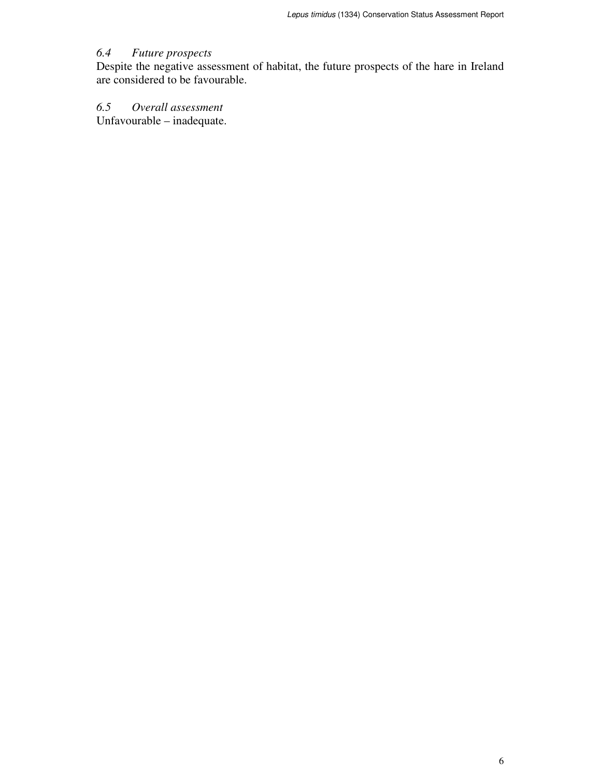## *6.4 Future prospects*

Despite the negative assessment of habitat, the future prospects of the hare in Ireland are considered to be favourable.

## *6.5 Overall assessment*

Unfavourable – inadequate.